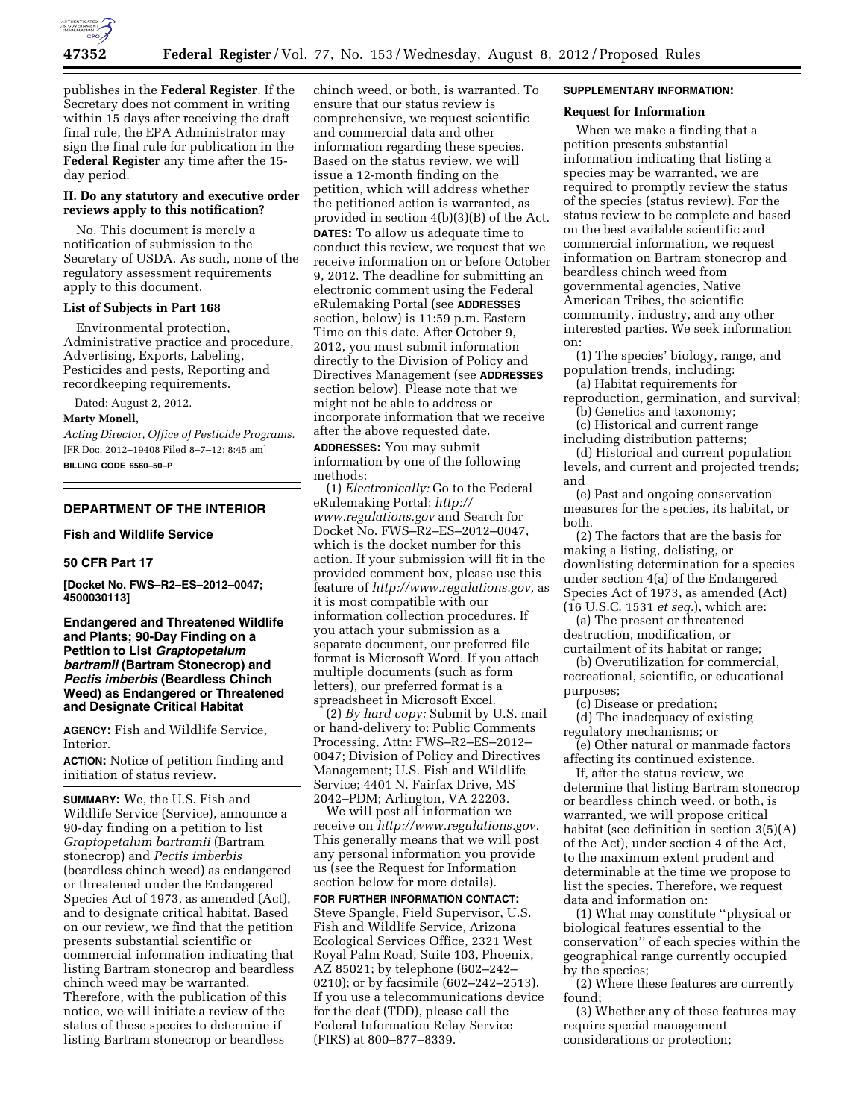

publishes in the **Federal Register**. If the Secretary does not comment in writing within 15 days after receiving the draft final rule, the EPA Administrator may sign the final rule for publication in the **Federal Register** any time after the 15 day period.

## **II. Do any statutory and executive order reviews apply to this notification?**

No. This document is merely a notification of submission to the Secretary of USDA. As such, none of the regulatory assessment requirements apply to this document.

## **List of Subjects in Part 168**

Environmental protection, Administrative practice and procedure, Advertising, Exports, Labeling, Pesticides and pests, Reporting and recordkeeping requirements.

Dated: August 2, 2012.

## **Marty Monell,**

*Acting Director, Office of Pesticide Programs.*  [FR Doc. 2012–19408 Filed 8–7–12; 8:45 am] **BILLING CODE 6560–50–P** 

#### **DEPARTMENT OF THE INTERIOR**

**Fish and Wildlife Service** 

#### **50 CFR Part 17**

**[Docket No. FWS–R2–ES–2012–0047; 4500030113]** 

**Endangered and Threatened Wildlife and Plants; 90-Day Finding on a Petition to List** *Graptopetalum bartramii* **(Bartram Stonecrop) and**  *Pectis imberbis* **(Beardless Chinch Weed) as Endangered or Threatened and Designate Critical Habitat** 

**AGENCY:** Fish and Wildlife Service, Interior.

**ACTION:** Notice of petition finding and initiation of status review.

**SUMMARY:** We, the U.S. Fish and Wildlife Service (Service), announce a 90-day finding on a petition to list *Graptopetalum bartramii* (Bartram stonecrop) and *Pectis imberbis*  (beardless chinch weed) as endangered or threatened under the Endangered Species Act of 1973, as amended (Act), and to designate critical habitat. Based on our review, we find that the petition presents substantial scientific or commercial information indicating that listing Bartram stonecrop and beardless chinch weed may be warranted. Therefore, with the publication of this notice, we will initiate a review of the status of these species to determine if listing Bartram stonecrop or beardless

chinch weed, or both, is warranted. To ensure that our status review is comprehensive, we request scientific and commercial data and other information regarding these species. Based on the status review, we will issue a 12-month finding on the petition, which will address whether the petitioned action is warranted, as provided in section 4(b)(3)(B) of the Act. **DATES:** To allow us adequate time to conduct this review, we request that we receive information on or before October 9, 2012. The deadline for submitting an electronic comment using the Federal eRulemaking Portal (see **ADDRESSES** section, below) is 11:59 p.m. Eastern Time on this date. After October 9, 2012, you must submit information directly to the Division of Policy and Directives Management (see **ADDRESSES** section below). Please note that we might not be able to address or incorporate information that we receive after the above requested date.

**ADDRESSES:** You may submit information by one of the following methods:

(1) *Electronically:* Go to the Federal eRulemaking Portal: *[http://](http://www.regulations.gov) [www.regulations.gov](http://www.regulations.gov)* and Search for Docket No. FWS–R2–ES–2012–0047, which is the docket number for this action. If your submission will fit in the provided comment box, please use this feature of *[http://www.regulations.gov,](http://www.regulations.gov)* as it is most compatible with our information collection procedures. If you attach your submission as a separate document, our preferred file format is Microsoft Word. If you attach multiple documents (such as form letters), our preferred format is a spreadsheet in Microsoft Excel.

(2) *By hard copy:* Submit by U.S. mail or hand-delivery to: Public Comments Processing, Attn: FWS–R2–ES–2012– 0047; Division of Policy and Directives Management; U.S. Fish and Wildlife Service; 4401 N. Fairfax Drive, MS 2042–PDM; Arlington, VA 22203.

We will post all information we receive on *[http://www.regulations.gov.](http://www.regulations.gov)*  This generally means that we will post any personal information you provide us (see the Request for Information section below for more details). **FOR FURTHER INFORMATION CONTACT:**  Steve Spangle, Field Supervisor, U.S. Fish and Wildlife Service, Arizona Ecological Services Office, 2321 West Royal Palm Road, Suite 103, Phoenix, AZ 85021; by telephone (602–242– 0210); or by facsimile (602–242–2513). If you use a telecommunications device for the deaf (TDD), please call the Federal Information Relay Service (FIRS) at 800–877–8339.

## **SUPPLEMENTARY INFORMATION:**

## **Request for Information**

When we make a finding that a petition presents substantial information indicating that listing a species may be warranted, we are required to promptly review the status of the species (status review). For the status review to be complete and based on the best available scientific and commercial information, we request information on Bartram stonecrop and beardless chinch weed from governmental agencies, Native American Tribes, the scientific community, industry, and any other interested parties. We seek information on:

(1) The species' biology, range, and population trends, including:

(a) Habitat requirements for reproduction, germination, and survival;

(b) Genetics and taxonomy; (c) Historical and current range

including distribution patterns;

(d) Historical and current population levels, and current and projected trends; and

(e) Past and ongoing conservation measures for the species, its habitat, or both.

(2) The factors that are the basis for making a listing, delisting, or downlisting determination for a species under section 4(a) of the Endangered Species Act of 1973, as amended (Act) (16 U.S.C. 1531 *et seq.*), which are:

(a) The present or threatened destruction, modification, or curtailment of its habitat or range;

(b) Overutilization for commercial, recreational, scientific, or educational purposes;

(c) Disease or predation;

(d) The inadequacy of existing regulatory mechanisms; or

(e) Other natural or manmade factors affecting its continued existence.

If, after the status review, we determine that listing Bartram stonecrop or beardless chinch weed, or both, is warranted, we will propose critical habitat (see definition in section 3(5)(A) of the Act), under section 4 of the Act, to the maximum extent prudent and determinable at the time we propose to list the species. Therefore, we request data and information on:

(1) What may constitute ''physical or biological features essential to the conservation'' of each species within the geographical range currently occupied by the species;

(2) Where these features are currently found;

(3) Whether any of these features may require special management considerations or protection;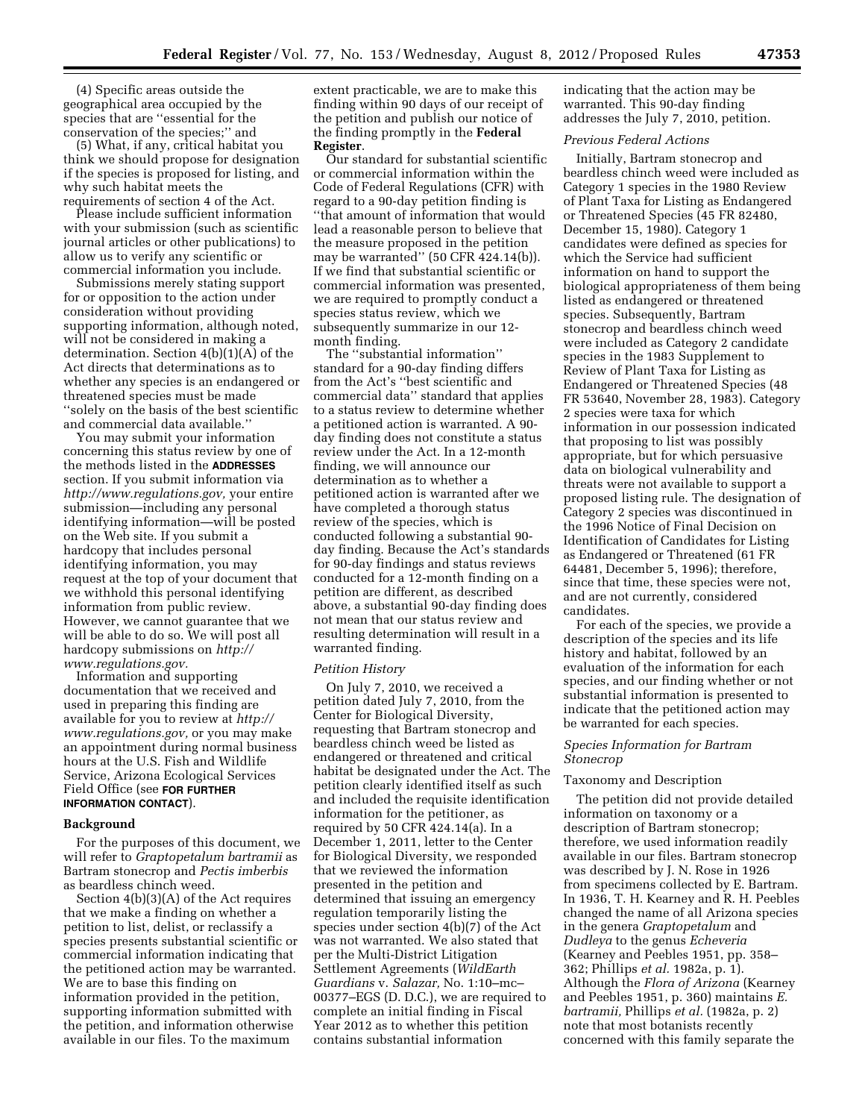(4) Specific areas outside the geographical area occupied by the species that are ''essential for the conservation of the species;'' and

(5) What, if any, critical habitat you think we should propose for designation if the species is proposed for listing, and why such habitat meets the requirements of section 4 of the Act.

Please include sufficient information with your submission (such as scientific journal articles or other publications) to allow us to verify any scientific or commercial information you include.

Submissions merely stating support for or opposition to the action under consideration without providing supporting information, although noted, will not be considered in making a determination. Section 4(b)(1)(A) of the Act directs that determinations as to whether any species is an endangered or threatened species must be made ''solely on the basis of the best scientific and commercial data available.''

You may submit your information concerning this status review by one of the methods listed in the **ADDRESSES** section. If you submit information via *[http://www.regulations.gov,](http://www.regulations.gov)* your entire submission—including any personal identifying information—will be posted on the Web site. If you submit a hardcopy that includes personal identifying information, you may request at the top of your document that we withhold this personal identifying information from public review. However, we cannot guarantee that we will be able to do so. We will post all hardcopy submissions on *[http://](http://www.regulations.gov) [www.regulations.gov.](http://www.regulations.gov)* 

Information and supporting documentation that we received and used in preparing this finding are available for you to review at *[http://](http://www.regulations.gov)  [www.regulations.gov,](http://www.regulations.gov)* or you may make an appointment during normal business hours at the U.S. Fish and Wildlife Service, Arizona Ecological Services Field Office (see **FOR FURTHER INFORMATION CONTACT**).

#### **Background**

For the purposes of this document, we will refer to *Graptopetalum bartramii* as Bartram stonecrop and *Pectis imberbis*  as beardless chinch weed.

Section 4(b)(3)(A) of the Act requires that we make a finding on whether a petition to list, delist, or reclassify a species presents substantial scientific or commercial information indicating that the petitioned action may be warranted. We are to base this finding on information provided in the petition, supporting information submitted with the petition, and information otherwise available in our files. To the maximum

extent practicable, we are to make this finding within 90 days of our receipt of the petition and publish our notice of the finding promptly in the **Federal Register**.

Our standard for substantial scientific or commercial information within the Code of Federal Regulations (CFR) with regard to a 90-day petition finding is ''that amount of information that would lead a reasonable person to believe that the measure proposed in the petition may be warranted'' (50 CFR 424.14(b)). If we find that substantial scientific or commercial information was presented, we are required to promptly conduct a species status review, which we subsequently summarize in our 12 month finding.

The ''substantial information'' standard for a 90-day finding differs from the Act's ''best scientific and commercial data'' standard that applies to a status review to determine whether a petitioned action is warranted. A 90 day finding does not constitute a status review under the Act. In a 12-month finding, we will announce our determination as to whether a petitioned action is warranted after we have completed a thorough status review of the species, which is conducted following a substantial 90 day finding. Because the Act's standards for 90-day findings and status reviews conducted for a 12-month finding on a petition are different, as described above, a substantial 90-day finding does not mean that our status review and resulting determination will result in a warranted finding.

#### *Petition History*

On July 7, 2010, we received a petition dated July 7, 2010, from the Center for Biological Diversity, requesting that Bartram stonecrop and beardless chinch weed be listed as endangered or threatened and critical habitat be designated under the Act. The petition clearly identified itself as such and included the requisite identification information for the petitioner, as required by 50 CFR 424.14(a). In a December 1, 2011, letter to the Center for Biological Diversity, we responded that we reviewed the information presented in the petition and determined that issuing an emergency regulation temporarily listing the species under section 4(b)(7) of the Act was not warranted. We also stated that per the Multi-District Litigation Settlement Agreements (*WildEarth Guardians* v. *Salazar,* No. 1:10–mc– 00377–EGS (D. D.C.), we are required to complete an initial finding in Fiscal Year 2012 as to whether this petition contains substantial information

indicating that the action may be warranted. This 90-day finding addresses the July 7, 2010, petition.

## *Previous Federal Actions*

Initially, Bartram stonecrop and beardless chinch weed were included as Category 1 species in the 1980 Review of Plant Taxa for Listing as Endangered or Threatened Species (45 FR 82480, December 15, 1980). Category 1 candidates were defined as species for which the Service had sufficient information on hand to support the biological appropriateness of them being listed as endangered or threatened species. Subsequently, Bartram stonecrop and beardless chinch weed were included as Category 2 candidate species in the 1983 Supplement to Review of Plant Taxa for Listing as Endangered or Threatened Species (48 FR 53640, November 28, 1983). Category 2 species were taxa for which information in our possession indicated that proposing to list was possibly appropriate, but for which persuasive data on biological vulnerability and threats were not available to support a proposed listing rule. The designation of Category 2 species was discontinued in the 1996 Notice of Final Decision on Identification of Candidates for Listing as Endangered or Threatened (61 FR 64481, December 5, 1996); therefore, since that time, these species were not, and are not currently, considered candidates.

For each of the species, we provide a description of the species and its life history and habitat, followed by an evaluation of the information for each species, and our finding whether or not substantial information is presented to indicate that the petitioned action may be warranted for each species.

## *Species Information for Bartram Stonecrop*

#### Taxonomy and Description

The petition did not provide detailed information on taxonomy or a description of Bartram stonecrop; therefore, we used information readily available in our files. Bartram stonecrop was described by J. N. Rose in 1926 from specimens collected by E. Bartram. In 1936, T. H. Kearney and R. H. Peebles changed the name of all Arizona species in the genera *Graptopetalum* and *Dudleya* to the genus *Echeveria*  (Kearney and Peebles 1951, pp. 358– 362; Phillips *et al.* 1982a, p. 1). Although the *Flora of Arizona* (Kearney and Peebles 1951, p. 360) maintains *E. bartramii,* Phillips *et al.* (1982a, p. 2) note that most botanists recently concerned with this family separate the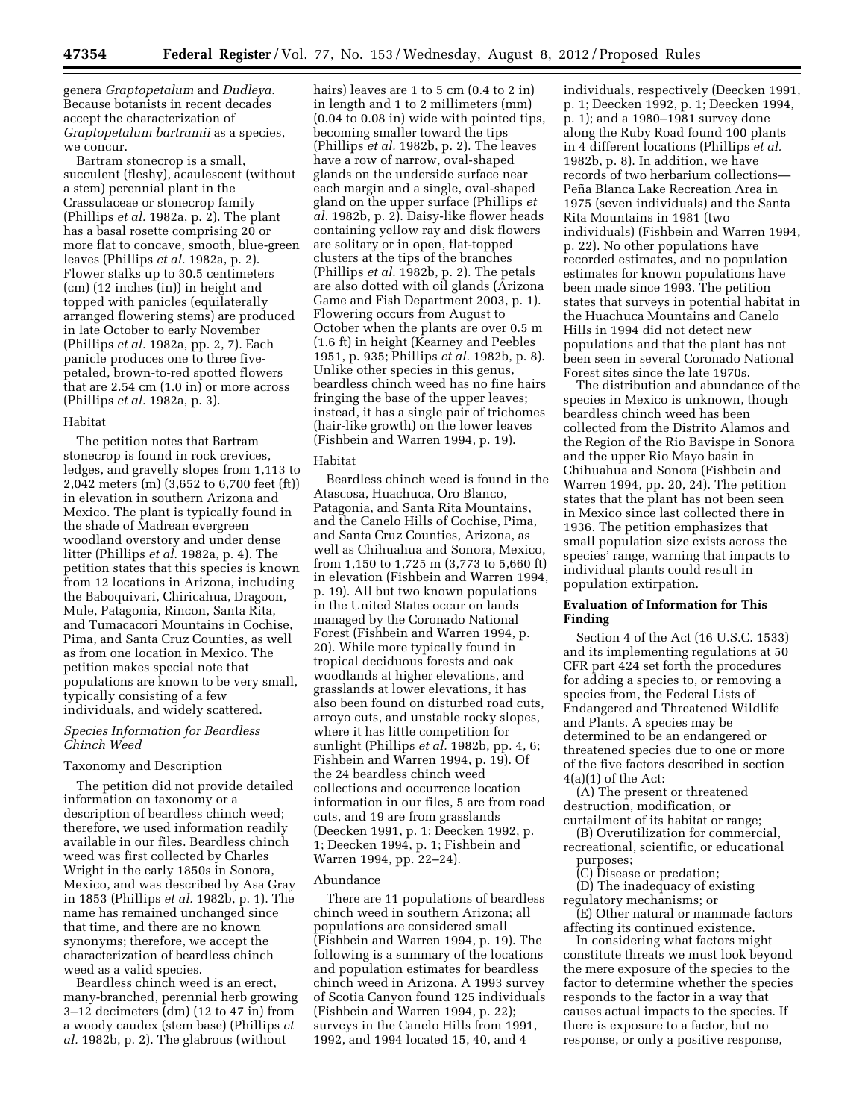genera *Graptopetalum* and *Dudleya.*  Because botanists in recent decades accept the characterization of *Graptopetalum bartramii* as a species, we concur.

Bartram stonecrop is a small, succulent (fleshy), acaulescent (without a stem) perennial plant in the Crassulaceae or stonecrop family (Phillips *et al.* 1982a, p. 2). The plant has a basal rosette comprising 20 or more flat to concave, smooth, blue-green leaves (Phillips *et al.* 1982a, p. 2). Flower stalks up to 30.5 centimeters (cm) (12 inches (in)) in height and topped with panicles (equilaterally arranged flowering stems) are produced in late October to early November (Phillips *et al.* 1982a, pp. 2, 7). Each panicle produces one to three fivepetaled, brown-to-red spotted flowers that are 2.54 cm (1.0 in) or more across (Phillips *et al.* 1982a, p. 3).

## Habitat

The petition notes that Bartram stonecrop is found in rock crevices, ledges, and gravelly slopes from 1,113 to 2,042 meters (m) (3,652 to 6,700 feet (ft)) in elevation in southern Arizona and Mexico. The plant is typically found in the shade of Madrean evergreen woodland overstory and under dense litter (Phillips *et al.* 1982a, p. 4). The petition states that this species is known from 12 locations in Arizona, including the Baboquivari, Chiricahua, Dragoon, Mule, Patagonia, Rincon, Santa Rita, and Tumacacori Mountains in Cochise, Pima, and Santa Cruz Counties, as well as from one location in Mexico. The petition makes special note that populations are known to be very small, typically consisting of a few individuals, and widely scattered.

## *Species Information for Beardless Chinch Weed*

#### Taxonomy and Description

The petition did not provide detailed information on taxonomy or a description of beardless chinch weed; therefore, we used information readily available in our files. Beardless chinch weed was first collected by Charles Wright in the early 1850s in Sonora, Mexico, and was described by Asa Gray in 1853 (Phillips *et al.* 1982b, p. 1). The name has remained unchanged since that time, and there are no known synonyms; therefore, we accept the characterization of beardless chinch weed as a valid species.

Beardless chinch weed is an erect, many-branched, perennial herb growing 3–12 decimeters (dm) (12 to 47 in) from a woody caudex (stem base) (Phillips *et al.* 1982b, p. 2). The glabrous (without

hairs) leaves are 1 to 5 cm (0.4 to 2 in) in length and 1 to 2 millimeters (mm) (0.04 to 0.08 in) wide with pointed tips, becoming smaller toward the tips (Phillips *et al.* 1982b, p. 2). The leaves have a row of narrow, oval-shaped glands on the underside surface near each margin and a single, oval-shaped gland on the upper surface (Phillips *et al.* 1982b, p. 2). Daisy-like flower heads containing yellow ray and disk flowers are solitary or in open, flat-topped clusters at the tips of the branches (Phillips *et al.* 1982b, p. 2). The petals are also dotted with oil glands (Arizona Game and Fish Department 2003, p. 1). Flowering occurs from August to October when the plants are over 0.5 m (1.6 ft) in height (Kearney and Peebles 1951, p. 935; Phillips *et al.* 1982b, p. 8). Unlike other species in this genus, beardless chinch weed has no fine hairs fringing the base of the upper leaves; instead, it has a single pair of trichomes (hair-like growth) on the lower leaves (Fishbein and Warren 1994, p. 19).

#### Habitat

Beardless chinch weed is found in the Atascosa, Huachuca, Oro Blanco, Patagonia, and Santa Rita Mountains, and the Canelo Hills of Cochise, Pima, and Santa Cruz Counties, Arizona, as well as Chihuahua and Sonora, Mexico, from 1,150 to 1,725 m (3,773 to 5,660 ft) in elevation (Fishbein and Warren 1994, p. 19). All but two known populations in the United States occur on lands managed by the Coronado National Forest (Fishbein and Warren 1994, p. 20). While more typically found in tropical deciduous forests and oak woodlands at higher elevations, and grasslands at lower elevations, it has also been found on disturbed road cuts, arroyo cuts, and unstable rocky slopes, where it has little competition for sunlight (Phillips *et al.* 1982b, pp. 4, 6; Fishbein and Warren 1994, p. 19). Of the 24 beardless chinch weed collections and occurrence location information in our files, 5 are from road cuts, and 19 are from grasslands (Deecken 1991, p. 1; Deecken 1992, p. 1; Deecken 1994, p. 1; Fishbein and Warren 1994, pp. 22–24).

#### Abundance

There are 11 populations of beardless chinch weed in southern Arizona; all populations are considered small (Fishbein and Warren 1994, p. 19). The following is a summary of the locations and population estimates for beardless chinch weed in Arizona. A 1993 survey of Scotia Canyon found 125 individuals (Fishbein and Warren 1994, p. 22); surveys in the Canelo Hills from 1991, 1992, and 1994 located 15, 40, and 4

individuals, respectively (Deecken 1991, p. 1; Deecken 1992, p. 1; Deecken 1994, p. 1); and a 1980–1981 survey done along the Ruby Road found 100 plants in 4 different locations (Phillips *et al.*  1982b, p. 8). In addition, we have records of two herbarium collections— Peña Blanca Lake Recreation Area in 1975 (seven individuals) and the Santa Rita Mountains in 1981 (two individuals) (Fishbein and Warren 1994, p. 22). No other populations have recorded estimates, and no population estimates for known populations have been made since 1993. The petition states that surveys in potential habitat in the Huachuca Mountains and Canelo Hills in 1994 did not detect new populations and that the plant has not been seen in several Coronado National Forest sites since the late 1970s.

The distribution and abundance of the species in Mexico is unknown, though beardless chinch weed has been collected from the Distrito Alamos and the Region of the Rio Bavispe in Sonora and the upper Rio Mayo basin in Chihuahua and Sonora (Fishbein and Warren 1994, pp. 20, 24). The petition states that the plant has not been seen in Mexico since last collected there in 1936. The petition emphasizes that small population size exists across the species' range, warning that impacts to individual plants could result in population extirpation.

# **Evaluation of Information for This Finding**

Section 4 of the Act (16 U.S.C. 1533) and its implementing regulations at 50 CFR part 424 set forth the procedures for adding a species to, or removing a species from, the Federal Lists of Endangered and Threatened Wildlife and Plants. A species may be determined to be an endangered or threatened species due to one or more of the five factors described in section  $4(a)(1)$  of the Act:

(A) The present or threatened destruction, modification, or curtailment of its habitat or range;

(B) Overutilization for commercial, recreational, scientific, or educational

- purposes;
	- (C) Disease or predation;
- (D) The inadequacy of existing regulatory mechanisms; or

(E) Other natural or manmade factors affecting its continued existence.

In considering what factors might constitute threats we must look beyond the mere exposure of the species to the factor to determine whether the species responds to the factor in a way that causes actual impacts to the species. If there is exposure to a factor, but no response, or only a positive response,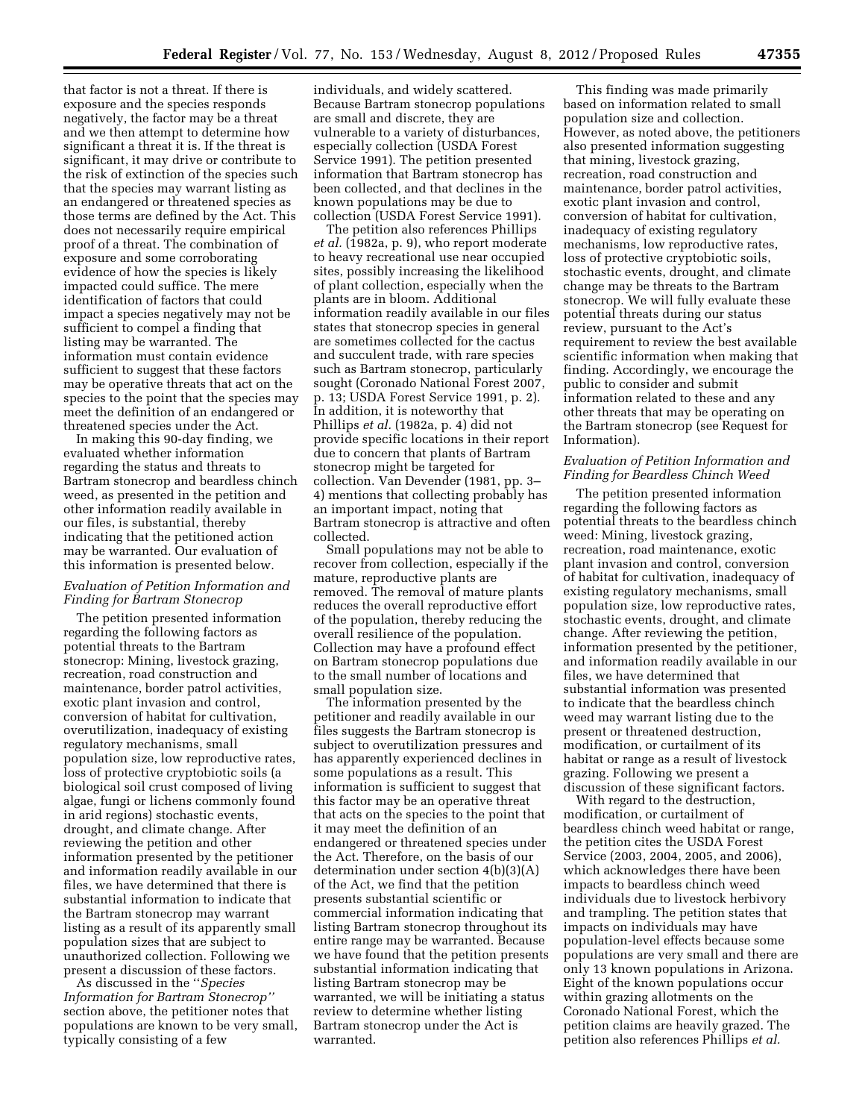that factor is not a threat. If there is exposure and the species responds negatively, the factor may be a threat and we then attempt to determine how significant a threat it is. If the threat is significant, it may drive or contribute to the risk of extinction of the species such that the species may warrant listing as an endangered or threatened species as those terms are defined by the Act. This does not necessarily require empirical proof of a threat. The combination of exposure and some corroborating evidence of how the species is likely impacted could suffice. The mere identification of factors that could impact a species negatively may not be sufficient to compel a finding that listing may be warranted. The information must contain evidence sufficient to suggest that these factors may be operative threats that act on the species to the point that the species may meet the definition of an endangered or threatened species under the Act.

In making this 90-day finding, we evaluated whether information regarding the status and threats to Bartram stonecrop and beardless chinch weed, as presented in the petition and other information readily available in our files, is substantial, thereby indicating that the petitioned action may be warranted. Our evaluation of this information is presented below.

## *Evaluation of Petition Information and Finding for Bartram Stonecrop*

The petition presented information regarding the following factors as potential threats to the Bartram stonecrop: Mining, livestock grazing, recreation, road construction and maintenance, border patrol activities, exotic plant invasion and control, conversion of habitat for cultivation, overutilization, inadequacy of existing regulatory mechanisms, small population size, low reproductive rates, loss of protective cryptobiotic soils (a biological soil crust composed of living algae, fungi or lichens commonly found in arid regions) stochastic events, drought, and climate change. After reviewing the petition and other information presented by the petitioner and information readily available in our files, we have determined that there is substantial information to indicate that the Bartram stonecrop may warrant listing as a result of its apparently small population sizes that are subject to unauthorized collection. Following we present a discussion of these factors.

As discussed in the ''*Species Information for Bartram Stonecrop''*  section above, the petitioner notes that populations are known to be very small, typically consisting of a few

individuals, and widely scattered. Because Bartram stonecrop populations are small and discrete, they are vulnerable to a variety of disturbances, especially collection (USDA Forest Service 1991). The petition presented information that Bartram stonecrop has been collected, and that declines in the known populations may be due to collection (USDA Forest Service 1991).

The petition also references Phillips *et al.* (1982a, p. 9), who report moderate to heavy recreational use near occupied sites, possibly increasing the likelihood of plant collection, especially when the plants are in bloom. Additional information readily available in our files states that stonecrop species in general are sometimes collected for the cactus and succulent trade, with rare species such as Bartram stonecrop, particularly sought (Coronado National Forest 2007, p. 13; USDA Forest Service 1991, p. 2). In addition, it is noteworthy that Phillips *et al.* (1982a, p. 4) did not provide specific locations in their report due to concern that plants of Bartram stonecrop might be targeted for collection. Van Devender (1981, pp. 3– 4) mentions that collecting probably has an important impact, noting that Bartram stonecrop is attractive and often collected.

Small populations may not be able to recover from collection, especially if the mature, reproductive plants are removed. The removal of mature plants reduces the overall reproductive effort of the population, thereby reducing the overall resilience of the population. Collection may have a profound effect on Bartram stonecrop populations due to the small number of locations and small population size.

The information presented by the petitioner and readily available in our files suggests the Bartram stonecrop is subject to overutilization pressures and has apparently experienced declines in some populations as a result. This information is sufficient to suggest that this factor may be an operative threat that acts on the species to the point that it may meet the definition of an endangered or threatened species under the Act. Therefore, on the basis of our determination under section 4(b)(3)(A) of the Act, we find that the petition presents substantial scientific or commercial information indicating that listing Bartram stonecrop throughout its entire range may be warranted. Because we have found that the petition presents substantial information indicating that listing Bartram stonecrop may be warranted, we will be initiating a status review to determine whether listing Bartram stonecrop under the Act is warranted.

This finding was made primarily based on information related to small population size and collection. However, as noted above, the petitioners also presented information suggesting that mining, livestock grazing, recreation, road construction and maintenance, border patrol activities, exotic plant invasion and control, conversion of habitat for cultivation, inadequacy of existing regulatory mechanisms, low reproductive rates, loss of protective cryptobiotic soils, stochastic events, drought, and climate change may be threats to the Bartram stonecrop. We will fully evaluate these potential threats during our status review, pursuant to the Act's requirement to review the best available scientific information when making that finding. Accordingly, we encourage the public to consider and submit information related to these and any other threats that may be operating on the Bartram stonecrop (see Request for Information).

## *Evaluation of Petition Information and Finding for Beardless Chinch Weed*

The petition presented information regarding the following factors as potential threats to the beardless chinch weed: Mining, livestock grazing, recreation, road maintenance, exotic plant invasion and control, conversion of habitat for cultivation, inadequacy of existing regulatory mechanisms, small population size, low reproductive rates, stochastic events, drought, and climate change. After reviewing the petition, information presented by the petitioner, and information readily available in our files, we have determined that substantial information was presented to indicate that the beardless chinch weed may warrant listing due to the present or threatened destruction, modification, or curtailment of its habitat or range as a result of livestock grazing. Following we present a discussion of these significant factors.

With regard to the destruction, modification, or curtailment of beardless chinch weed habitat or range, the petition cites the USDA Forest Service (2003, 2004, 2005, and 2006), which acknowledges there have been impacts to beardless chinch weed individuals due to livestock herbivory and trampling. The petition states that impacts on individuals may have population-level effects because some populations are very small and there are only 13 known populations in Arizona. Eight of the known populations occur within grazing allotments on the Coronado National Forest, which the petition claims are heavily grazed. The petition also references Phillips *et al.*